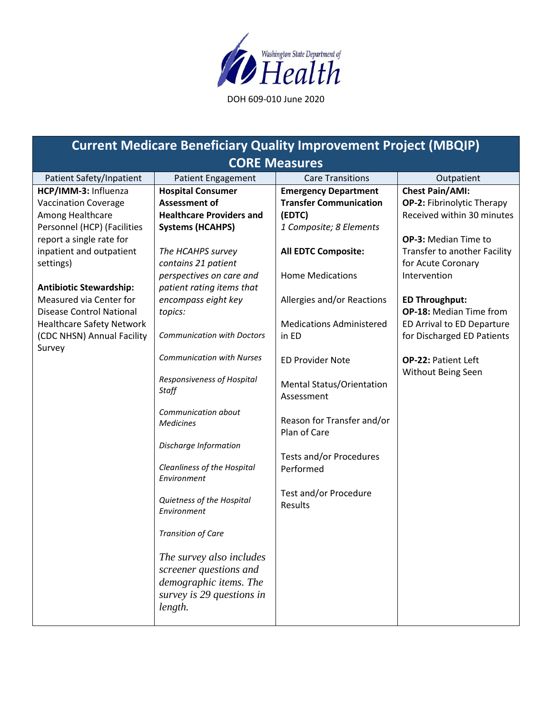

## **Current Medicare Beneficiary Quality Improvement Project (MBQIP) CORE Measures**

| Patient Safety/Inpatient         | <b>Patient Engagement</b>         | <b>Care Transitions</b>                     | Outpatient                   |
|----------------------------------|-----------------------------------|---------------------------------------------|------------------------------|
| HCP/IMM-3: Influenza             | <b>Hospital Consumer</b>          | <b>Emergency Department</b>                 | <b>Chest Pain/AMI:</b>       |
| <b>Vaccination Coverage</b>      | <b>Assessment of</b>              | <b>Transfer Communication</b>               | OP-2: Fibrinolytic Therapy   |
| Among Healthcare                 | <b>Healthcare Providers and</b>   | (EDTC)                                      | Received within 30 minutes   |
| Personnel (HCP) (Facilities      | <b>Systems (HCAHPS)</b>           | 1 Composite; 8 Elements                     |                              |
| report a single rate for         |                                   |                                             | OP-3: Median Time to         |
| inpatient and outpatient         | The HCAHPS survey                 | <b>All EDTC Composite:</b>                  | Transfer to another Facility |
| settings)                        | contains 21 patient               |                                             | for Acute Coronary           |
|                                  | perspectives on care and          | <b>Home Medications</b>                     | Intervention                 |
| <b>Antibiotic Stewardship:</b>   | patient rating items that         |                                             |                              |
| Measured via Center for          | encompass eight key               | Allergies and/or Reactions                  | <b>ED Throughput:</b>        |
| <b>Disease Control National</b>  | topics:                           |                                             | OP-18: Median Time from      |
| <b>Healthcare Safety Network</b> |                                   | <b>Medications Administered</b>             | ED Arrival to ED Departure   |
| (CDC NHSN) Annual Facility       | <b>Communication with Doctors</b> | in ED                                       | for Discharged ED Patients   |
| Survey                           | <b>Communication with Nurses</b>  |                                             |                              |
|                                  |                                   | <b>ED Provider Note</b>                     | <b>OP-22: Patient Left</b>   |
|                                  | Responsiveness of Hospital        |                                             | Without Being Seen           |
|                                  | Staff                             | Mental Status/Orientation                   |                              |
|                                  |                                   | Assessment                                  |                              |
|                                  | Communication about               |                                             |                              |
|                                  | <b>Medicines</b>                  | Reason for Transfer and/or                  |                              |
|                                  |                                   | Plan of Care                                |                              |
|                                  | Discharge Information             |                                             |                              |
|                                  | Cleanliness of the Hospital       | <b>Tests and/or Procedures</b><br>Performed |                              |
|                                  | Environment                       |                                             |                              |
|                                  |                                   | Test and/or Procedure                       |                              |
|                                  | Quietness of the Hospital         | <b>Results</b>                              |                              |
|                                  | Environment                       |                                             |                              |
|                                  |                                   |                                             |                              |
|                                  | <b>Transition of Care</b>         |                                             |                              |
|                                  |                                   |                                             |                              |
|                                  | The survey also includes          |                                             |                              |
|                                  | screener questions and            |                                             |                              |
|                                  | demographic items. The            |                                             |                              |
|                                  | survey is 29 questions in         |                                             |                              |
|                                  | length.                           |                                             |                              |
|                                  |                                   |                                             |                              |